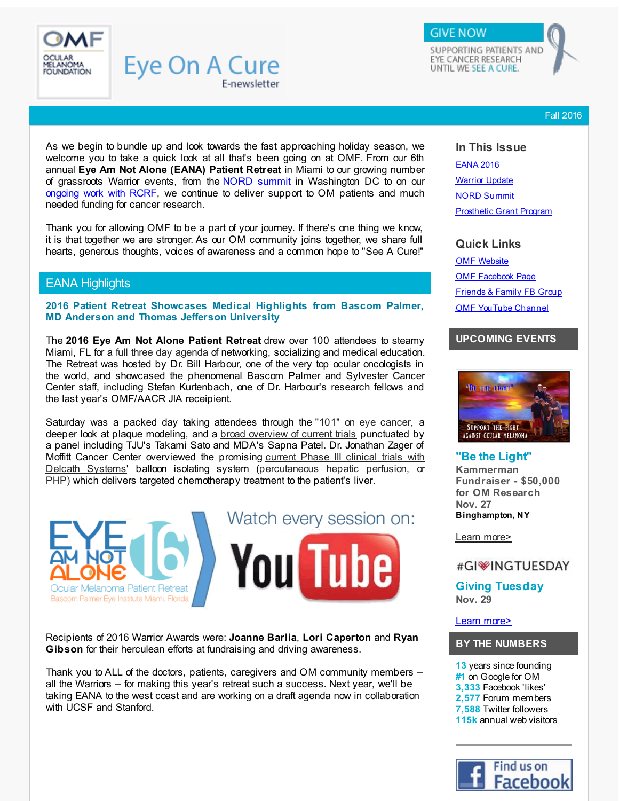<span id="page-0-0"></span>

SUPPORTING PATIENTS AND EYE CANCER RESEARCH UNTIL WE SEE A CURE.

**GIVE NOW** 

Fall 2016

As we begin to bundle up and look towards the fast approaching holiday season, we welcome you to take a quick look at all that's been going on at OMF. From our 6th annual **Eye Am Not Alone (EANA) Patient Retreat** in Miami to our growing number of grassroots Warrior events, from the NORD [summit](#page-2-0) in Washington DC to on our [ongoing](http://r20.rs6.net/tn.jsp?f=0011_JF9-Se2ef27VxU-JBzlpASdQ_GPJBaWca0STzZ8L5ejfThK31rjb4lnWuZWy9dZhXFNvRCDRpZB2M1dPukkhUhmd6xr4cX36TXF3Qy8UAdrbXFyw5xKFeesiRbjrha5EQwGngWBHOOfXmWcSC6uvAVpBGiXF_CN4CVmrAhViiBxV5NA87WXc__JXy4-W146wLkt440cQQzOc6M1zNoDFnmlmkrABaUBQ6WQ8le15u5ytTIdjdgkY-n4fGdTsgTHNl9Uw1b38qpFKEqYoyo5sXPfWZ5jbcqgr18XIUH3n2dXAQVZxUVYyzvU4ZYKKqw&c=&ch=) work with RCRF, we continue to deliver support to OM patients and much needed funding for cancer research.

E-newsletter

**Eye On A Cure** 

Thank you for allowing OMF to be a part of your journey. If there's one thing we know, it is that together we are stronger. As our OM community joins together, we share full hearts, generous thoughts, voices of awareness and a common hope to "See A Cure!"

# EANA Highlights

**2016 Patient Retreat Showcases Medical Highlights from Bascom Palmer, MD Anderson and Thomas Jefferson University**

The **2016 Eye Am Not Alone Patient Retreat** drew over 100 attendees to steamy Miami, FL for a full three day [agenda](http://r20.rs6.net/tn.jsp?f=0011_JF9-Se2ef27VxU-JBzlpASdQ_GPJBaWca0STzZ8L5ejfThK31rjb4lnWuZWy9d3EhobscTrk3O61GOZwVNk0nquOYRuXcDmgJY-lLzp-Y8OjbIH9wytw913xP5fGTho3WKR2yVvBCYV8jqmQreH-CSVPgRkZbTgmSfq7qjZ3vpDl0KCQJV7cAenoY-dxP6SeRzrc7WtSJVdnHIHVdqViEzAKdTW37fcwnaGbZDekiynScav_gimakb-vFsuv4QNa0bPj20KmqWDJ-cOIRtNfvzcvwqJmHe_0U1WQp6H0IB1NxI03ixd4pQwnJW1Inel5blNumFg1Iqf5GOwtfztcsoau7Ag94wmIQNFxaLGZF4yHZVQ8IQWxtK9o2xMUdwQp_fFF5mKp2Bd_x6A_OiNw==&c=&ch=) of networking, socializing and medical education. The Retreat was hosted by Dr. Bill Harbour, one of the very top ocular oncologists in the world, and showcased the phenomenal Bascom Palmer and Sylvester Cancer Center staff, including Stefan Kurtenbach, one of Dr. Harbour's research fellows and the last year's OMF/AACR JIA receipient.

Saturday was a packed day taking attendees through the "101" on eye [cancer](http://r20.rs6.net/tn.jsp?f=0011_JF9-Se2ef27VxU-JBzlpASdQ_GPJBaWca0STzZ8L5ejfThK31rjb4lnWuZWy9dUVwCQabXr5qOethFnzhfG3vv67OriuevzCLfBWk6005hpIygi6r0vqWn9CbhHyV9WUYrfIUEeuxczJRgShGzGIQKsZcHUXxGQTiXFGcNnECvCe3-vX-YCywCMNQRjGH5YbvKThjvZsVASciPCOY-szzIMkIzoEzjf2v8o6MxT11qAmSUi-9Bc-ehraefzEe8DCnIwJLxfqyZqP-E_Wv8QTAzK7yZqMLCqwOJ-Tk5-s2KV7f1d3uU1WQrcaX94C6s_jgdXtCWq0YZZq9woT0mgAEBJNa9zu7TCD7fsbCxLxw=&c=&ch=), a deeper look at plaque modeling, and a broad [overview](http://r20.rs6.net/tn.jsp?f=0011_JF9-Se2ef27VxU-JBzlpASdQ_GPJBaWca0STzZ8L5ejfThK31rjb4lnWuZWy9d6ZMXAgu1o8Vde2jxgEWtuMv4xpJxFsFmesRO92hBFMqau1X60_1AEv6SY36V_V63wqfdT-90fy9SsxhI2aogs9k1vN7p-6M8UU9r8ApCj6XYfDyvkDuG4TyK4krgz4y6uO5glQV70U0vXRNDYtzE6i8DkF2ZXCa7Uz2CuWab-QA8OCTrkwl-zKCT0wWOfjT2HmhkQJLIPGJqwlhcii7Fqg==&c=&ch=) of current trials punctuated by a panel including TJU's Takami Sato and MDA's Sapna Patel. Dr. Jonathan Zager of Moffitt Cancer Center overviewed the promising current Phase III clinical trials with Delcath Systems' balloon isolating system [\(percutaneous](http://r20.rs6.net/tn.jsp?f=0011_JF9-Se2ef27VxU-JBzlpASdQ_GPJBaWca0STzZ8L5ejfThK31rjb4lnWuZWy9d6y7d-WzMaAM0wC2ppP_qn5BzcKY4DlfhFDwllQQwa_eUvkBXcnTouGXXikgytBSWFrayt6VfhANglxrZ3wfTv1x-XOVevIYTdL4YhzTGU1WCemSHUDTH3V_WfdkZUyjZKJVc3vQ4TkBYtc-YAzFNRP2ZBToAfG-8YE3IrqCDS9tMX-HI__XNiu21RUhWOGuESlHSKa2rrCyKSnmMF6xRT1ofIJ2-KrG0Gtd47Geo-ZT1ym5ncSBkyA7-n27CC7J0lS9XUeGfbZhRLdAbKZwzeIkGLl9xCJn8LeHgWjsuv1myCq95S4S-_Mff8KZeqFXd&c=&ch=) hepatic perfusion, or PHP) which delivers targeted chemotherapy treatment to the patient's liver.



Recipients of 2016 Warrior Awards were: **Joanne Barlia**, **Lori Caperton** and **Ryan Gibson** for their herculean efforts at fundraising and driving awareness.

Thank you to ALL of the doctors, patients, caregivers and OM community members - all the Warriors -- for making this year's retreat such a success. Next year, we'll be taking EANA to the west coast and are working on a draft agenda now in collaboration with UCSF and Stanford.

# **In This Issue**

[EANA](#page-0-0) 2016 **[Warrior](#page-0-0) Update** NORD [Summit](#page-0-0) [Prosthetic](#page-0-0) Grant Program

## **Quick Links**

OMF [Website](http://r20.rs6.net/tn.jsp?f=0011_JF9-Se2ef27VxU-JBzlpASdQ_GPJBaWca0STzZ8L5ejfThK31rjeBIFs9f6vA_NSROVfFP7Q9QxYZ-h2oby_woaUp-PxYgWVWMLDXwUPQdIMzBF6UsxU69QLQ6Is-hQbpMXpHJy91LE67F2hg9V2SWxnyYsxqVBQABEOl3knaMgCbaERQSogkqnt32_wjnytACOMMjqPfTBNSjmZCaZohMwoQ19KLhkrXZFtY0YI1F0QUl8EQleLVKgvSe8xZmV2xQqvPLALVwe_7ahvR4FzUW6n_tdizUOU50sbeZ6Z0vWtI0lU6Htg==&c=&ch=) OMF [Facebook](http://r20.rs6.net/tn.jsp?f=0011_JF9-Se2ef27VxU-JBzlpASdQ_GPJBaWca0STzZ8L5ejfThK31rjaMk533jfGCOjSEJ8r7W6EtZIdytCMamWOywj8dhzaNN75fHqR2PcuzJRLwx5UjUk-YL0nsky2R6Z01kQNTpVIPGyAlakEkzlT9Zh8sG6iH5nENOAhNtemK4BMtEXKKEOBNRWRH2U8O4&c=&ch=) Page [Friends](http://r20.rs6.net/tn.jsp?f=0011_JF9-Se2ef27VxU-JBzlpASdQ_GPJBaWca0STzZ8L5ejfThK31rjavuiwaQ-QldiH3FFONwEIwPYHhEOhneClDVaNK4orWpRdKh5tanH47XhmcR6CUCUtycEmbYR8dtmd6llhMQjfvd23LN67gfGaz3VI0yp4SumgxhjEKSlLATzwpMnIuVVS5-PWKrmQViMvK_6lx39Zg=&c=&ch=) & Family FB Group OMF [YouTube](http://r20.rs6.net/tn.jsp?f=0011_JF9-Se2ef27VxU-JBzlpASdQ_GPJBaWca0STzZ8L5ejfThK31rjVEXW1JSpzjwdH549nad925QWj_0eHXJboJ0uVXXb404diEfr7slQ3C3do8TTLJTZ3wQNmFElF90JM7j0SYB4jm7A6zWWws6bQ4uNF81DWX53KcSO1gNA2ew5rdmrb7kpSeHZgwTJHiEWG37VpjWhIsRfmyeJeCpeFTAx-i1jKPu&c=&ch=) Channel

## **UPCOMING EVENTS**



# **"Be the Light"**

**Kammerman Fundraiser - \$50,000 for OM Research Nov. 27 Binghampton, NY**

Learn [more>](http://r20.rs6.net/tn.jsp?f=0011_JF9-Se2ef27VxU-JBzlpASdQ_GPJBaWca0STzZ8L5ejfThK31rjb4lnWuZWy9dG2oymuQKqlbsyE4ayhkQxZTRrm8zNd9cw6obMcznxRORe3N1VCMUrlSf6bsI-2QTwmlnsO-I2waE0JjzsKkOKX61v-U486q0q2cxI3BKln2iMW66gSGWu6Ou3XhO6s62_KyUrWnCdO237w5PNpcZJGMsJYBDtDAB9NbaPSOpBnKa9NHPF6w3ZFwfmFC-gXTYCQ5YwCO1jZZA35rrINTPTvT8ERWecxFDbKn5X3DA5CeBXZ44fz1qb_bG9O7Hrl-aC1rB4gSNoCd8caG0AFnkWQ==&c=&ch=)

## #GI<sup>W</sup>INGTUESDAY

**Giving Tuesday Nov. 29**

### Learn [more>](http://r20.rs6.net/tn.jsp?f=0011_JF9-Se2ef27VxU-JBzlpASdQ_GPJBaWca0STzZ8L5ejfThK31rjb4lnWuZWy9dqq8-4TpnTfg-9dhhhf34ejn4m4gkxQN0DYy1jkQ0wFkE69gjKVV05q4e93vhqcvSU3qBxERGCbGQsEtXXfdYeekIcyJSqA8WlbfBIdmFkC209wwWgBQZ_-5JjHmXL5Kh0wJjP7N39hph_EaGfvODFeaC2x7I5etUfoirxrOAfAlDi8a3OJVRzXd8Z5WKIq91Nk-yj-AZjwUsnWg21Szug5tcRF7A1N5fCJeGm383eWcgfK7_oTMX7Q==&c=&ch=)

### **BY THE NUMBERS**

**13** years since founding **#1** on Google for OM **3,333** Facebook 'likes' **2,577** Forum members **7,588** Twitter followers

**115k** annual web visitors

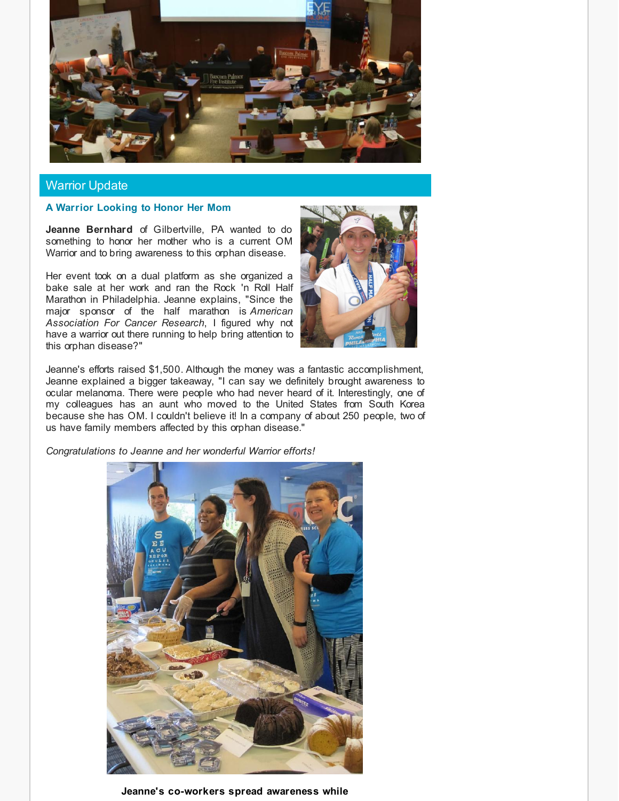

## Warrior Update

## **A Warrior Looking to Honor Her Mom**

**Jeanne Bernhard** of Gilbertville, PA wanted to do something to honor her mother who is a current OM Warrior and to bring awareness to this orphan disease.

Her event took on a dual platform as she organized a bake sale at her work and ran the Rock 'n Roll Half Marathon in Philadelphia. Jeanne explains, "Since the major sponsor of the half marathon is *American Association For Cancer Research*, I figured why not have a warrior out there running to help bring attention to this orphan disease?"



Jeanne's efforts raised \$1,500. Although the money was a fantastic accomplishment, Jeanne explained a bigger takeaway, "I can say we definitely brought awareness to ocular melanoma. There were people who had never heard of it. Interestingly, one of my colleagues has an aunt who moved to the United States from South Korea because she has OM. I couldn't believe it! In a company of about 250 people, two of us have family members affected by this orphan disease."

*Congratulations to Jeanne and her wonderful Warrior efforts!*



**Jeanne's co-workers spread awareness while**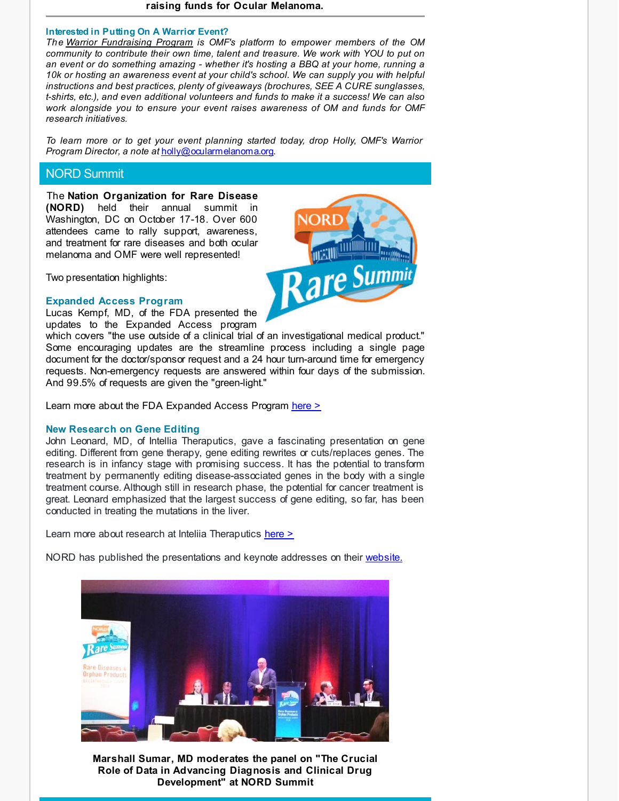#### **raising funds for Ocular Melanoma.**

#### **Interested in Putting On A Warrior Event?**

*The Warrior [Fundraising](http://r20.rs6.net/tn.jsp?f=0011_JF9-Se2ef27VxU-JBzlpASdQ_GPJBaWca0STzZ8L5ejfThK31rjaMk533jfGCOiUUlPSj1BOvG2j8E46fJkPmaH0NLUTpCLYXII7y9sG0eGH8pNQpb2J-V5rgcPpDLuK6n0MdURTObhCdOqPEeHJ9VfLg58CSFYOLIwGQVI5vMzDqQWaOwajPGuB1Yy6fbUUa3kIpCuQTecpl5yvDzsS81bAYXNlnxYUavnz5H-WhDB9tqI2F2cA6vDz1lNzTmwejFs_opEG53EB7W3tkWvqTMQTSLDimZTNKmE4sDNrJnDLlMBr29YJmFmOD0uZsKNGCs93vDy3TPnWGVYMcqiA==&c=&ch=) Program is OMF's platform to empower members of the OM community to contribute their own time, talent and treasure. We work with YOU to put on an event or do something amazing - whether it's hosting a BBQ at your home, running a 10k or hosting an awareness event at your child's school. We can supply you with helpful instructions and best practices, plenty of giveaways (brochures, SEE A CURE sunglasses, t-shirts, etc.), and even additional volunteers and funds to make it a success! We can also work alongside you to ensure your event raises awareness of OM and funds for OMF research initiatives.*

*To learn more or to get your event planning started today, drop Holly, OMF's Warrior Program Director, a note at* [holly@ocularmelanoma.org](http://r20.rs6.net/tn.jsp?f=0011_JF9-Se2ef27VxU-JBzlpASdQ_GPJBaWca0STzZ8L5ejfThK31rjVNINuuH09lSjevGuzX8EKTINNXu9gbgSupK6oIcT0dZlseGwcfWWVu32kpHJ37W8axmhCinqWlonMUygCJ4UfgLlOVrnNKmObYhC_v8qM5t6xh970-pz7eCarEl9A1eZ_H6AuXVHNSk1KZBahGKieNiPq4ReTDr103ULLj4AExneRNW7hYETLeXg0qVkRD-LO5Ty92RKeyNPK9-jyRG-BpMgEY4XV0095YGmm7hloTCj1hYdV-uMBsqv0M0TTgZ-ySYlOSx_GPquCBm-b3R1zPS5L2F3Pe4aza5uQPLHZSQ7Mb-_cKxvL7icPy474PIBPkT4eSZJNELIl6j_e-o-Sw=&c=&ch=).

## NORD Summit

<span id="page-2-0"></span>The **Nation Organization for Rare Disease (NORD)** held their annual summit in Washington, DC on October 17-18. Over 600 attendees came to rally support, awareness, and treatment for rare diseases and both ocular melanoma and OMF were well represented!

Two presentation highlights:

#### **Expanded Access Program**

Lucas Kempf, MD, of the FDA presented the updates to the Expanded Access program

which covers "the use outside of a clinical trial of an investigational medical product." Some encouraging updates are the streamline process including a single page document for the doctor/sponsor request and a 24 hour turn-around time for emergency requests. Non-emergency requests are answered within four days of the submission. And 99.5% of requests are given the "green-light."

Learn more about the FDA Expanded Access Program [here](http://www.fda.gov/NewsEvents/PublicHealthFocus/ExpandedAccessCompassionateUse/default.htm?utm_source=Fall+Newsletter+2016&utm_campaign=Fall2016Newsletter&utm_medium=email) >

#### **New Research on Gene Editing**

John Leonard, MD, of Intellia Theraputics, gave a fascinating presentation on gene editing. Different from gene therapy, gene editing rewrites or cuts/replaces genes. The research is in infancy stage with promising success. It has the potential to transform treatment by permanently editing disease-associated genes in the body with a single treatment course. Although still in research phase, the potential for cancer treatment is great. Leonard emphasized that the largest success of gene editing, so far, has been conducted in treating the mutations in the liver.

Learn more about research at Inteliia Theraputics [here](http://r20.rs6.net/tn.jsp?f=0011_JF9-Se2ef27VxU-JBzlpASdQ_GPJBaWca0STzZ8L5ejfThK31rjb4lnWuZWy9dzZVqCBLOfb5gpiYk10M_YlS4CKQJjh3QYeudeFUz9CiZni2avpwN_wO4oLs75M-6N1cE9UQUXO3JqjtdaqjABOzib4uXIlQD2HJsf0ZqGf1TpKZU9PBE5UCyIqfemN6jWUxTdG7dlbThgXMKztonAbfaHghQW_LgvkBpOSo8isoRXmGcT-kHJg62qFeev4YozFX-ICj_W3PhzvlufIj2oQFHlpvYpYbn67z_ICFpR8Wj2V4JmqTlpw==&c=&ch=) >

NORD has published the presentations and keynote addresses on their [website.](http://r20.rs6.net/tn.jsp?f=0011_JF9-Se2ef27VxU-JBzlpASdQ_GPJBaWca0STzZ8L5ejfThK31rjb4lnWuZWy9dWBhNQoD8vq3gmkjhWBcVKA9NAMcbD9aAgQ8H3azUiID96E88iPGtf6lKkcIAXh8Wsvm_9-ZHJcq4jxC421hVnjTg-FMpIlnJ-Snt2hKEUHO-GtU5zyi5ZJL1EanZgKtSe4CSOYkqrUQwNO3cxTqfoXEYOUrN2POd_hafjvDFX-5mYa-lZE8iaV5T5kTfhxGPMOArDZrm28xgQyz4ef0755zuxDHsEW4yYd0qJ8WueYeEnafecnfaug==&c=&ch=)



**Marshall Sumar, MD moderates the panel on "The Crucial Role of Data in Advancing Diagnosis and Clinical Drug Development" at NORD Summit**

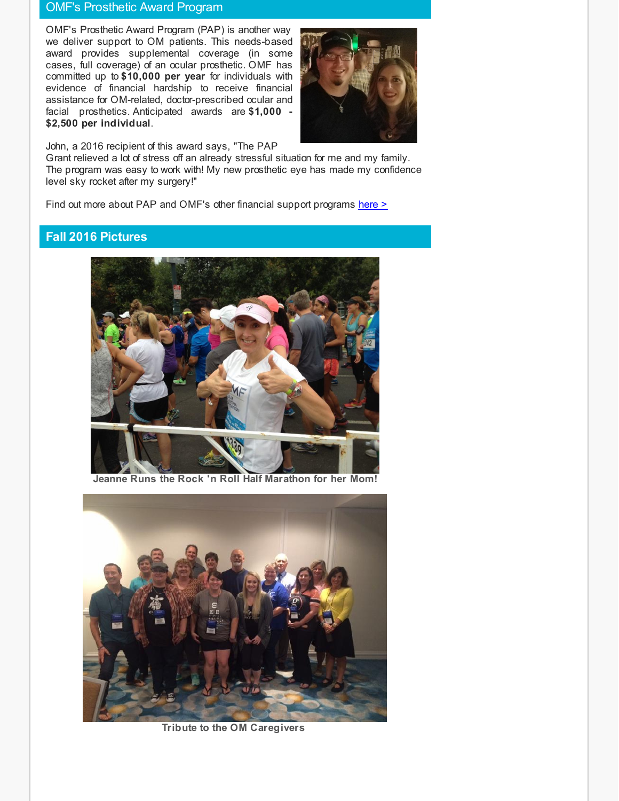## OMF's Prosthetic Award Program

OMF's Prosthetic Award Program (PAP) is another way we deliver support to OM patients. This needs-based award provides supplemental coverage (in some cases, full coverage) of an ocular prosthetic. OMF has committed up to **\$10,000 per year** for individuals with evidence of financial hardship to receive financial assistance for OM-related, doctor-prescribed ocular and facial prosthetics. Anticipated awards are **\$1,000 - \$2,500 per individual**.



John, a 2016 recipient of this award says, "The PAP

Grant relieved a lot of stress off an already stressful situation for me and my family. The program was easy to work with! My new prosthetic eye has made my confidence level sky rocket after my surgery!"

Find out more about PAP and OMF's other financial support programs [here](http://r20.rs6.net/tn.jsp?f=0011_JF9-Se2ef27VxU-JBzlpASdQ_GPJBaWca0STzZ8L5ejfThK31rjcSjJnDmZDuOPHeVhUxKor9JNiPXKjq4FL6Z-MPyiLpMdkbugiu3MbXcghEPXuccVXRmKVfLi6-OixBGXO5DVNoNUf7Bs2BhITzlaeysPwsQZ1CMrkax_Eg69Tjp9cF_rS0LekpT9YBLameCUsig502M8D5DhAU4vf69wdYhUisqPhEDTFBRCTldY8adPqBhNCHm5XOda9a9YlOipGruaJFQ4XPlyknz2T8XB9j1NeJGAKfF6rGefYyNi51bmyEzORpaMgmfLQ6q-1-7Ch7yRJ5bp1i5zuBsbQ==&c=&ch=) >

# **Fall 2016 Pictures**



**Jeanne Runs the Rock 'n Roll Half Marathon for her Mom!**



**Tribute to the OM Caregivers**